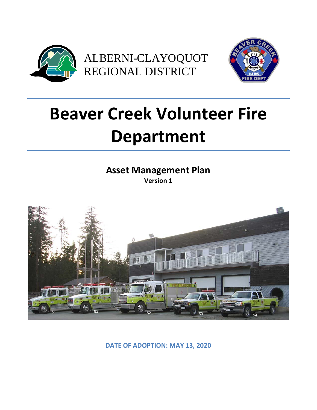



# **Beaver Creek Volunteer Fire Department**

**Asset Management Plan Version 1**



**DATE OF ADOPTION: MAY 13, 2020**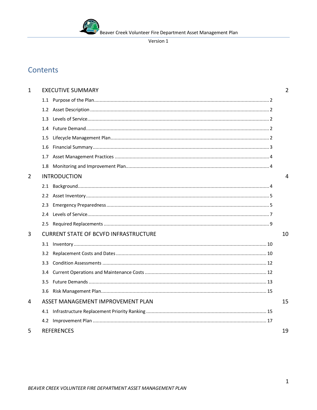

# Contents

| 1              |               | <b>EXECUTIVE SUMMARY</b>                     | $\overline{2}$ |
|----------------|---------------|----------------------------------------------|----------------|
|                |               |                                              |                |
|                |               |                                              |                |
|                | 1.3           |                                              |                |
|                | 1.4           |                                              |                |
|                | 1.5           |                                              |                |
|                | 1.6           |                                              |                |
|                | 1.7           |                                              |                |
|                |               |                                              |                |
| $\overline{2}$ |               | <b>INTRODUCTION</b>                          | 4              |
|                |               |                                              |                |
|                |               |                                              |                |
|                | 2.3           |                                              |                |
|                | 2.4           |                                              |                |
|                |               |                                              |                |
| 3              |               | <b>CURRENT STATE OF BCVFD INFRASTRUCTURE</b> | 10             |
|                |               |                                              |                |
|                | 3.2           |                                              |                |
|                | 3.3           |                                              |                |
|                |               |                                              |                |
|                | $3.5^{\circ}$ |                                              |                |
|                |               |                                              |                |
| 4              |               | ASSET MANAGEMENT IMPROVEMENT PLAN            | 15             |
|                |               |                                              |                |
|                |               |                                              |                |
| 5              |               | <b>REFERENCES</b>                            | 19             |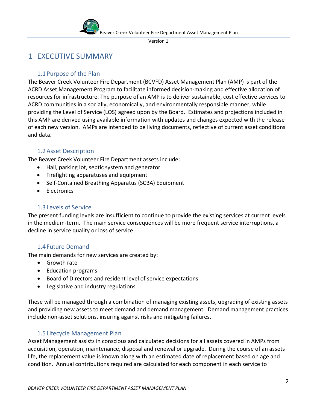

# <span id="page-2-0"></span>1 EXECUTIVE SUMMARY

# <span id="page-2-1"></span>1.1Purpose of the Plan

The Beaver Creek Volunteer Fire Department (BCVFD) Asset Management Plan (AMP) is part of the ACRD Asset Management Program to facilitate informed decision-making and effective allocation of resources for infrastructure. The purpose of an AMP is to deliver sustainable, cost effective services to ACRD communities in a socially, economically, and environmentally responsible manner, while providing the Level of Service (LOS) agreed upon by the Board. Estimates and projections included in this AMP are derived using available information with updates and changes expected with the release of each new version. AMPs are intended to be living documents, reflective of current asset conditions and data.

# 1.2Asset Description

<span id="page-2-2"></span>The Beaver Creek Volunteer Fire Department assets include:

- Hall, parking lot, septic system and generator
- Firefighting apparatuses and equipment
- Self-Contained Breathing Apparatus (SCBA) Equipment
- Electronics

# 1.3Levels of Service

<span id="page-2-3"></span>The present funding levels are insufficient to continue to provide the existing services at current levels in the medium-term. The main service consequences will be more frequent service interruptions, a decline in service quality or loss of service.

## <span id="page-2-4"></span>1.4Future Demand

The main demands for new services are created by:

- Growth rate
- Education programs
- Board of Directors and resident level of service expectations
- Legislative and industry regulations

These will be managed through a combination of managing existing assets, upgrading of existing assets and providing new assets to meet demand and demand management. Demand management practices include non-asset solutions, insuring against risks and mitigating failures.

# 1.5Lifecycle Management Plan

<span id="page-2-5"></span>Asset Management assists in conscious and calculated decisions for all assets covered in AMPs from acquisition, operation, maintenance, disposal and renewal or upgrade. During the course of an assets life, the replacement value is known along with an estimated date of replacement based on age and condition. Annual contributions required are calculated for each component in each service to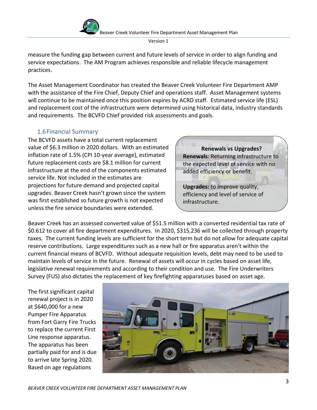

measure the funding gap between current and future levels of service in order to align funding and service expectations. The AM Program achieves responsible and reliable lifecycle management practices.

The Asset Management Coordinator has created the Beaver Creek Volunteer Fire Department AMP with the assistance of the Fire Chief, Deputy Chief and operations staff. Asset Management systems will continue to be maintained once this position expires by ACRD staff. Estimated service life (ESL) and replacement cost of the infrastructure were determined using historical data, industry standards and requirements. The BCVFD Chief provided risk assessments and goals.

# <span id="page-3-0"></span>1.6Financial Summary

The BCVFD assets have a total current replacement value of \$6.3 million in 2020 dollars. With an estimated inflation rate of 1.5% (CPI 10-year average), estimated future replacement costs are \$8.1 million for current infrastructure at the end of the components estimated service life. Not included in the estimates are projections for future demand and projected capital upgrades. Beaver Creek hasn't grown since the system was first established so future growth is not expected unless the fire service boundaries were extended.

**Renewals vs Upgrades? Renewals**: Returning infrastructure to the expected level of service with no added efficiency or benefit.

**Upgrades:** to improve quality, efficiency and level of service of infrastructure.

Beaver Creek has an assessed converted value of \$51.5 million with a converted residential tax rate of \$0.612 to cover all fire department expenditures. In 2020, \$315,236 will be collected through property taxes. The current funding levels are sufficient for the short term but do not allow for adequate capital reserve contributions. Large expenditures such as a new hall or fire apparatus aren't within the current financial means of BCVFD. Without adequate requisition levels, debt may need to be used to maintain levels of service in the future. Renewal of assets will occur in cycles based on asset life, legislative renewal requirements and according to their condition and use. The Fire Underwriters Survey (FUS) also dictates the replacement of key firefighting apparatuses based on asset age.

The first significant capital renewal project is in 2020 at \$640,000 for a new Pumper Fire Apparatus from Fort Garry Fire Trucks to replace the current First Line response apparatus. The apparatus has been partially paid for and is due to arrive late Spring 2020. Based on age regulations

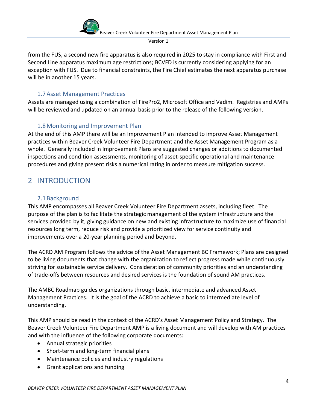

from the FUS, a second new fire apparatus is also required in 2025 to stay in compliance with First and Second Line apparatus maximum age restrictions; BCVFD is currently considering applying for an exception with FUS. Due to financial constraints, the Fire Chief estimates the next apparatus purchase will be in another 15 years.

# 1.7Asset Management Practices

<span id="page-4-0"></span>Assets are managed using a combination of FirePro2, Microsoft Office and Vadim. Registries and AMPs will be reviewed and updated on an annual basis prior to the release of the following version.

# 1.8Monitoring and Improvement Plan

<span id="page-4-1"></span>At the end of this AMP there will be an Improvement Plan intended to improve Asset Management practices within Beaver Creek Volunteer Fire Department and the Asset Management Program as a whole. Generally included in Improvement Plans are suggested changes or additions to documented inspections and condition assessments, monitoring of asset-specific operational and maintenance procedures and giving present risks a numerical rating in order to measure mitigation success.

# <span id="page-4-2"></span>2 INTRODUCTION

## <span id="page-4-3"></span>2.1Background

This AMP encompasses all Beaver Creek Volunteer Fire Department assets, including fleet. The purpose of the plan is to facilitate the strategic management of the system infrastructure and the services provided by it, giving guidance on new and existing infrastructure to maximize use of financial resources long term, reduce risk and provide a prioritized view for service continuity and improvements over a 20-year planning period and beyond.

The ACRD AM Program follows the advice of the Asset Management BC Framework; Plans are designed to be living documents that change with the organization to reflect progress made while continuously striving for sustainable service delivery. Consideration of community priorities and an understanding of trade-offs between resources and desired services is the foundation of sound AM practices.

The AMBC Roadmap guides organizations through basic, intermediate and advanced Asset Management Practices. It is the goal of the ACRD to achieve a basic to intermediate level of understanding.

This AMP should be read in the context of the ACRD's Asset Management Policy and Strategy. The Beaver Creek Volunteer Fire Department AMP is a living document and will develop with AM practices and with the influence of the following corporate documents:

- Annual strategic priorities
- Short-term and long-term financial plans
- Maintenance policies and industry regulations
- Grant applications and funding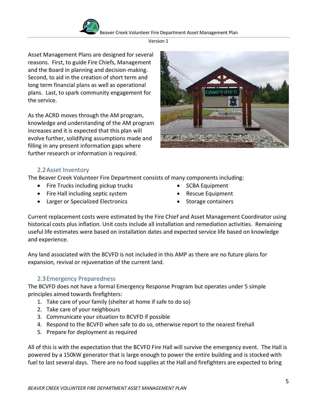

Beaver Creek Volunteer Fire Department Asset Management Plan

Version 1

Asset Management Plans are designed for several reasons. First, to guide Fire Chiefs, Management and the Board in planning and decision-making. Second, to aid in the creation of short term and long term financial plans as well as operational plans. Last, to spark community engagement for the service.

As the ACRD moves through the AM program, knowledge and understanding of the AM program increases and it is expected that this plan will evolve further, solidifying assumptions made and filling in any present information gaps where further research or information is required.



# 2.2Asset Inventory

<span id="page-5-0"></span>The Beaver Creek Volunteer Fire Department consists of many components including:

- Fire Trucks including pickup trucks
- Fire Hall including septic system
- Larger or Specialized Electronics
- SCBA Equipment
- Rescue Equipment
- Storage containers

Current replacement costs were estimated by the Fire Chief and Asset Management Coordinator using historical costs plus inflation. Unit costs include all installation and remediation activities. Remaining useful life estimates were based on installation dates and expected service life based on knowledge and experience.

Any land associated with the BCVFD is not included in this AMP as there are no future plans for expansion, revival or rejuvenation of the current land.

# 2.3Emergency Preparedness

<span id="page-5-1"></span>The BCVFD does not have a formal Emergency Response Program but operates under 5 simple principles aimed towards firefighters:

- 1. Take care of your family (shelter at home if safe to do so)
- 2. Take care of your neighbours
- 3. Communicate your situation to BCVFD if possible
- 4. Respond to the BCVFD when safe to do so, otherwise report to the nearest firehall
- 5. Prepare for deployment as required

All of this is with the expectation that the BCVFD Fire Hall will survive the emergency event. The Hall is powered by a 150kW generator that is large enough to power the entire building and is stocked with fuel to last several days. There are no food supplies at the Hall and firefighters are expected to bring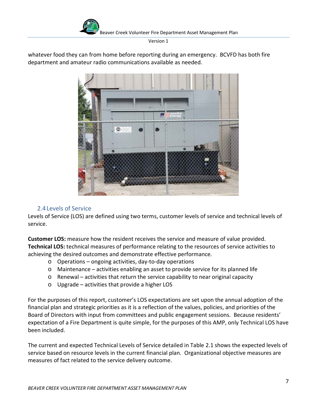

whatever food they can from home before reporting during an emergency. BCVFD has both fire department and amateur radio communications available as needed.



#### 2.4Levels of Service

<span id="page-6-0"></span>Levels of Service (LOS) are defined using two terms, customer levels of service and technical levels of service.

**Customer LOS:** measure how the resident receives the service and measure of value provided. **Technical LOS:** technical measures of performance relating to the resources of service activities to achieving the desired outcomes and demonstrate effective performance.

- o Operations ongoing activities, day-to-day operations
- o Maintenance activities enabling an asset to provide service for its planned life
- $\circ$  Renewal activities that return the service capability to near original capacity
- o Upgrade activities that provide a higher LOS

For the purposes of this report, customer's LOS expectations are set upon the annual adoption of the financial plan and strategic priorities as it is a reflection of the values, policies, and priorities of the Board of Directors with input from committees and public engagement sessions. Because residents' expectation of a Fire Department is quite simple, for the purposes of this AMP, only Technical LOS have been included.

The current and expected Technical Levels of Service detailed in Table 2.1 shows the expected levels of service based on resource levels in the current financial plan. Organizational objective measures are measures of fact related to the service delivery outcome.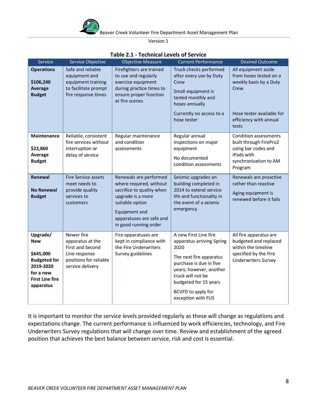

| Service                                                                                                                     | Service Objective                                                                                                 | <b>Objective Measure</b>                                                                                                                                                                     | <b>Current Performance</b>                                                                                                                                                                                                            | <b>Desired Outcome</b>                                                                                                                 |
|-----------------------------------------------------------------------------------------------------------------------------|-------------------------------------------------------------------------------------------------------------------|----------------------------------------------------------------------------------------------------------------------------------------------------------------------------------------------|---------------------------------------------------------------------------------------------------------------------------------------------------------------------------------------------------------------------------------------|----------------------------------------------------------------------------------------------------------------------------------------|
| <b>Operations</b><br>\$106,240<br><b>Average</b><br><b>Budget</b>                                                           | Safe and reliable<br>equipment and<br>equipment training<br>to facilitate prompt<br>fire response times           | Firefighters are trained<br>to use and regularly<br>exercise equipment<br>during practice times to<br>ensure proper function<br>at fire scenes                                               | Truck checks performed<br>after every use by Duty<br>Crew<br>Small equipment is<br>tested monthly and<br>hoses annually<br>Currently no access to a<br>hose tester                                                                    | All equipment aside<br>from hoses tested on a<br>weekly basis by a Duty<br>Crew<br>Hose tester available for<br>efficiency with annual |
|                                                                                                                             |                                                                                                                   |                                                                                                                                                                                              |                                                                                                                                                                                                                                       | tests                                                                                                                                  |
| Maintenance<br>\$22,860<br>Average<br><b>Budget</b>                                                                         | Reliable, consistent<br>fire services without<br>interruption or<br>delay of service                              | Regular maintenance<br>and condition<br>assessments                                                                                                                                          | Regular annual<br>inspections on major<br>equipment<br>No documented<br>condition assessments                                                                                                                                         | <b>Condition assessments</b><br>built through FirePro2<br>using bar codes and<br>iPads with<br>synchronization to AM<br>Program        |
| Renewal<br><b>No Renewal</b><br><b>Budget</b>                                                                               | <b>Fire Service assets</b><br>meet needs to<br>provide quality<br>services to<br>customers                        | Renewals are performed<br>where required, without<br>sacrifice to quality when<br>upgrade is a more<br>suitable option<br>Equipment and<br>apparatuses are safe and<br>in good running order | Seismic upgrades on<br>building completed in<br>2014 to extend service<br>life and functionality in<br>the event of a seismic<br>emergency                                                                                            | Renewals are proactive<br>rather than reactive<br>Aging equipment is<br>renewed before it fails                                        |
| Upgrade/<br><b>New</b><br>\$645,000<br><b>Budgeted for</b><br>2019-2020<br>for a new<br><b>First Line fire</b><br>apparatus | Newer fire<br>apparatus at the<br>First and Second<br>Line response<br>positions for reliable<br>service delivery | Fire apparatuses are<br>kept in compliance with<br>the Fire Underwriters<br>Survey guidelines                                                                                                | A new First Line fire<br>apparatus arriving Spring<br>2020<br>The next fire apparatus<br>purchase is due in five<br>years; however, another<br>truck will not be<br>budgeted for 15 years<br>BCVFD to apply for<br>exception with FUS | All fire apparatus are<br>budgeted and replaced<br>within the timeline<br>specified by the Fire<br><b>Underwriters Survey</b>          |

#### **Table 2.1 - Technical Levels of Service**

It is important to monitor the service levels provided regularly as these will change as regulations and expectations change. The current performance is influenced by work efficiencies, technology, and Fire Underwriters Survey regulations that will change over time. Review and establishment of the agreed position that achieves the best balance between service, risk and cost is essential.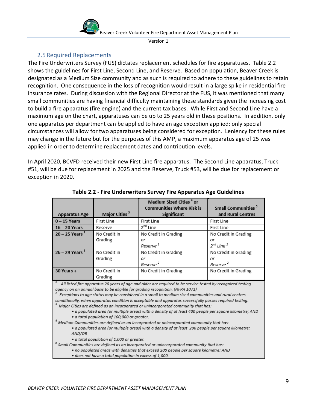

## 2.5Required Replacements

<span id="page-8-0"></span>The Fire Underwriters Survey (FUS) dictates replacement schedules for fire apparatuses. Table 2.2 shows the guidelines for First Line, Second Line, and Reserve. Based on population, Beaver Creek is designated as a Medium Size community and as such is required to adhere to these guidelines to retain recognition. One consequence in the loss of recognition would result in a large spike in residential fire insurance rates. During discussion with the Regional Director at the FUS, it was mentioned that many small communities are having financial difficulty maintaining these standards given the increasing cost to build a fire apparatus (fire engine) and the current tax bases. While First and Second Line have a maximum age on the chart, apparatuses can be up to 25 years old in these positions. In addition, only one apparatus per department can be applied to have an age exception applied; only special circumstances will allow for two apparatuses being considered for exception. Leniency for these rules may change in the future but for the purposes of this AMP, a maximum apparatus age of 25 was applied in order to determine replacement dates and contribution levels.

In April 2020, BCVFD received their new First Line fire apparatus. The Second Line apparatus, Truck #51, will be due for replacement in 2025 and the Reserve, Truck #53, will be due for replacement or exception in 2020.

|                                                                                                                                                                                                                                                                                                                                                                                                                                                                                                       |                           | Medium Sized Cities <sup>4</sup> or<br><b>Communities Where Risk is</b> | <b>Small Communities<sup>5</sup></b> |  |
|-------------------------------------------------------------------------------------------------------------------------------------------------------------------------------------------------------------------------------------------------------------------------------------------------------------------------------------------------------------------------------------------------------------------------------------------------------------------------------------------------------|---------------------------|-------------------------------------------------------------------------|--------------------------------------|--|
| <b>Apparatus Age</b>                                                                                                                                                                                                                                                                                                                                                                                                                                                                                  | Major Cities <sup>3</sup> | <b>Significant</b>                                                      | and Rural Centres                    |  |
| $0 - 15$ Years                                                                                                                                                                                                                                                                                                                                                                                                                                                                                        | First Line                | First Line                                                              | First Line                           |  |
| $16 - 20$ Years                                                                                                                                                                                                                                                                                                                                                                                                                                                                                       | Reserve                   | 2 <sup>nd</sup> Line                                                    | First Line                           |  |
| $20 - 25$ Years <sup>1</sup>                                                                                                                                                                                                                                                                                                                                                                                                                                                                          | No Credit in              | No Credit in Grading                                                    | No Credit in Grading                 |  |
|                                                                                                                                                                                                                                                                                                                                                                                                                                                                                                       | Grading                   | or                                                                      | or                                   |  |
|                                                                                                                                                                                                                                                                                                                                                                                                                                                                                                       |                           | Reserve <sup>2</sup>                                                    | $2^{nd}$ Line $^2$                   |  |
| $26 - 29$ Years <sup>1</sup>                                                                                                                                                                                                                                                                                                                                                                                                                                                                          | No Credit in              | No Credit in Grading                                                    | No Credit in Grading                 |  |
|                                                                                                                                                                                                                                                                                                                                                                                                                                                                                                       | Grading                   | or                                                                      | or                                   |  |
|                                                                                                                                                                                                                                                                                                                                                                                                                                                                                                       |                           | Reserve <sup>2</sup>                                                    | Reserve <sup>2</sup>                 |  |
| 30 Years +                                                                                                                                                                                                                                                                                                                                                                                                                                                                                            | No Credit in              | No Credit in Grading                                                    | No Credit in Grading                 |  |
|                                                                                                                                                                                                                                                                                                                                                                                                                                                                                                       | Grading                   |                                                                         |                                      |  |
| All listed fire apparatus 20 years of age and older are required to be service tested by recognized testing<br>agency on an annual basis to be eligible for grading recognition. (NFPA 1071)<br>Exceptions to age status may be considered in a small to medium sized communities and rural centres<br>conditionally, when apparatus condition is acceptable and apparatus successfully passes required testing.<br>Major Cities are defined as an incorporated or unincorporated community that has: |                           |                                                                         |                                      |  |

#### **Table 2.2 - Fire Underwriters Survey Fire Apparatus Age Guidelines**

a populated area (or multiple areas) with a density of at least 400 people per square kilometre; AND . · a total population of 100,000 or greater.

 $^4$  Medium Communities are defined as an incorporated or unincorporated community that has:

· a populated area (or multiple areas) with a density of at least 200 people per square kilometre; AND/OR

· a total population of 1,000 or greater.

 $<sup>5</sup>$  Small Communities are defined as an incorporated or unincorporated community that has:</sup>

- . no populated areas with densities that exceed 200 people per square kilometre; AND
- · does not have a total population in excess of 1,000.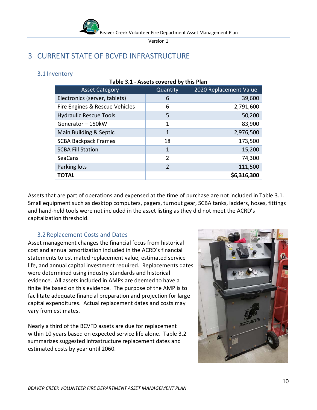

**Table 3.1 - Assets covered by this Plan**

# <span id="page-9-0"></span>3 CURRENT STATE OF BCVFD INFRASTRUCTURE

## <span id="page-9-1"></span>3.1Inventory

| <b>Asset Category</b>          | Quantity       | 2020 Replacement Value |  |  |
|--------------------------------|----------------|------------------------|--|--|
| Electronics (server, tablets)  | 6              | 39,600                 |  |  |
| Fire Engines & Rescue Vehicles | 6              | 2,791,600              |  |  |
| <b>Hydraulic Rescue Tools</b>  | 5              | 50,200                 |  |  |
| Generator - 150kW              | 1              | 83,900                 |  |  |
| Main Building & Septic         | 1              | 2,976,500              |  |  |
| <b>SCBA Backpack Frames</b>    | 18             | 173,500                |  |  |
| <b>SCBA Fill Station</b>       | 1              | 15,200                 |  |  |
| <b>SeaCans</b>                 | $\overline{2}$ | 74,300                 |  |  |
| Parking lots                   | $\overline{2}$ | 111,500                |  |  |
| <b>TOTAL</b>                   |                | \$6,316,300            |  |  |
|                                |                |                        |  |  |

## Assets that are part of operations and expensed at the time of purchase are not included in Table 3.1. Small equipment such as desktop computers, pagers, turnout gear, SCBA tanks, ladders, hoses, fittings and hand-held tools were not included in the asset listing as they did not meet the ACRD's capitalization threshold.

# 3.2Replacement Costs and Dates

<span id="page-9-2"></span>Asset management changes the financial focus from historical cost and annual amortization included in the ACRD's financial statements to estimated replacement value, estimated service life, and annual capital investment required. Replacements dates were determined using industry standards and historical evidence. All assets included in AMPs are deemed to have a finite life based on this evidence. The purpose of the AMP is to facilitate adequate financial preparation and projection for large capital expenditures. Actual replacement dates and costs may vary from estimates.

Nearly a third of the BCVFD assets are due for replacement within 10 years based on expected service life alone. Table 3.2 summarizes suggested infrastructure replacement dates and estimated costs by year until 2060.

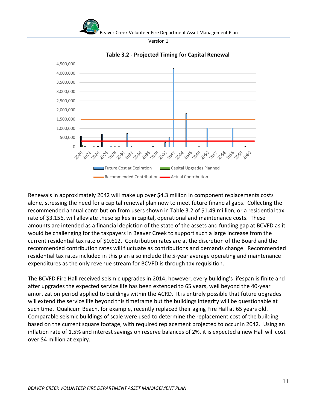Beaver Creek Volunteer Fire Department Asset Management Plan

Version 1



**Table 3.2 - Projected Timing for Capital Renewal** 

Renewals in approximately 2042 will make up over \$4.3 million in component replacements costs alone, stressing the need for a capital renewal plan now to meet future financial gaps. Collecting the recommended annual contribution from users shown in Table 3.2 of \$1.49 million, or a residential tax rate of \$3.156, will alleviate these spikes in capital, operational and maintenance costs. These amounts are intended as a financial depiction of the state of the assets and funding gap at BCVFD as it would be challenging for the taxpayers in Beaver Creek to support such a large increase from the current residential tax rate of \$0.612. Contribution rates are at the discretion of the Board and the recommended contribution rates will fluctuate as contributions and demands change. Recommended residential tax rates included in this plan also include the 5-year average operating and maintenance expenditures as the only revenue stream for BCVFD is through tax requisition.

The BCVFD Fire Hall received seismic upgrades in 2014; however, every building's lifespan is finite and after upgrades the expected service life has been extended to 65 years, well beyond the 40-year amortization period applied to buildings within the ACRD. It is entirely possible that future upgrades will extend the service life beyond this timeframe but the buildings integrity will be questionable at such time. Qualicum Beach, for example, recently replaced their aging Fire Hall at 65 years old. Comparable seismic buildings of scale were used to determine the replacement cost of the building based on the current square footage, with required replacement projected to occur in 2042. Using an inflation rate of 1.5% and interest savings on reserve balances of 2%, it is expected a new Hall will cost over \$4 million at expiry.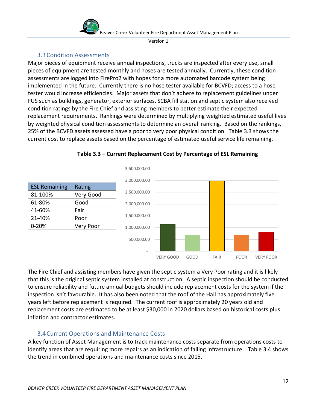

# 3.3Condition Assessments

<span id="page-11-0"></span>Major pieces of equipment receive annual inspections, trucks are inspected after every use, small pieces of equipment are tested monthly and hoses are tested annually. Currently, these condition assessments are logged into FirePro2 with hopes for a more automated barcode system being implemented in the future. Currently there is no hose tester available for BCVFD; access to a hose tester would increase efficiencies. Major assets that don't adhere to replacement guidelines under FUS such as buildings, generator, exterior surfaces, SCBA fill station and septic system also received condition ratings by the Fire Chief and assisting members to better estimate their expected replacement requirements. Rankings were determined by multiplying weighted estimated useful lives by weighted physical condition assessments to determine an overall ranking. Based on the rankings, 25% of the BCVFD assets assessed have a poor to very poor physical condition. Table 3.3 shows the current cost to replace assets based on the percentage of estimated useful service life remaining.



**Table 3.3 – Current Replacement Cost by Percentage of ESL Remaining**

The Fire Chief and assisting members have given the septic system a Very Poor rating and it is likely that this is the original septic system installed at construction. A septic inspection should be conducted to ensure reliability and future annual budgets should include replacement costs for the system if the inspection isn't favourable. It has also been noted that the roof of the Hall has approximately five years left before replacement is required. The current roof is approximately 20 years old and replacement costs are estimated to be at least \$30,000 in 2020 dollars based on historical costs plus inflation and contractor estimates.

# <span id="page-11-1"></span>3.4Current Operations and Maintenance Costs

A key function of Asset Management is to track maintenance costs separate from operations costs to identify areas that are requiring more repairs as an indication of failing infrastructure. Table 3.4 shows the trend in combined operations and maintenance costs since 2015.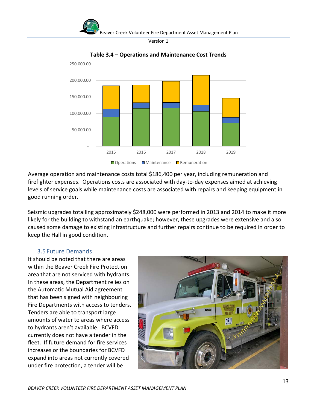



**Table 3.4 – Operations and Maintenance Cost Trends**

Average operation and maintenance costs total \$186,400 per year, including remuneration and firefighter expenses. Operations costs are associated with day-to-day expenses aimed at achieving levels of service goals while maintenance costs are associated with repairs and keeping equipment in good running order.

Seismic upgrades totalling approximately \$248,000 were performed in 2013 and 2014 to make it more likely for the building to withstand an earthquake; however, these upgrades were extensive and also caused some damage to existing infrastructure and further repairs continue to be required in order to keep the Hall in good condition.

#### 3.5Future Demands

<span id="page-12-0"></span>It should be noted that there are areas within the Beaver Creek Fire Protection area that are not serviced with hydrants. In these areas, the Department relies on the Automatic Mutual Aid agreement that has been signed with neighbouring Fire Departments with access to tenders. Tenders are able to transport large amounts of water to areas where access to hydrants aren't available. BCVFD currently does not have a tender in the fleet. If future demand for fire services increases or the boundaries for BCVFD expand into areas not currently covered under fire protection, a tender will be

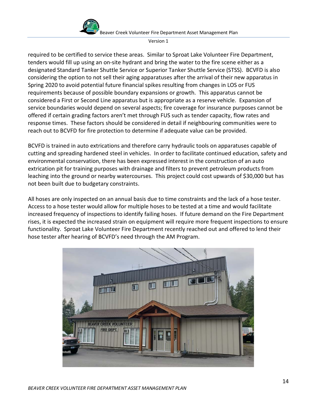



required to be certified to service these areas. Similar to Sproat Lake Volunteer Fire Department, tenders would fill up using an on-site hydrant and bring the water to the fire scene either as a designated Standard Tanker Shuttle Service or Superior Tanker Shuttle Service (STSS). BCVFD is also considering the option to not sell their aging apparatuses after the arrival of their new apparatus in Spring 2020 to avoid potential future financial spikes resulting from changes in LOS or FUS requirements because of possible boundary expansions or growth. This apparatus cannot be considered a First or Second Line apparatus but is appropriate as a reserve vehicle. Expansion of service boundaries would depend on several aspects; fire coverage for insurance purposes cannot be offered if certain grading factors aren't met through FUS such as tender capacity, flow rates and response times. These factors should be considered in detail if neighbouring communities were to reach out to BCVFD for fire protection to determine if adequate value can be provided.

BCVFD is trained in auto extrications and therefore carry hydraulic tools on apparatuses capable of cutting and spreading hardened steel in vehicles. In order to facilitate continued education, safety and environmental conservation, there has been expressed interest in the construction of an auto extrication pit for training purposes with drainage and filters to prevent petroleum products from leaching into the ground or nearby watercourses. This project could cost upwards of \$30,000 but has not been built due to budgetary constraints.

All hoses are only inspected on an annual basis due to time constraints and the lack of a hose tester. Access to a hose tester would allow for multiple hoses to be tested at a time and would facilitate increased frequency of inspections to identify failing hoses. If future demand on the Fire Department rises, it is expected the increased strain on equipment will require more frequent inspections to ensure functionality. Sproat Lake Volunteer Fire Department recently reached out and offered to lend their hose tester after hearing of BCVFD's need through the AM Program.

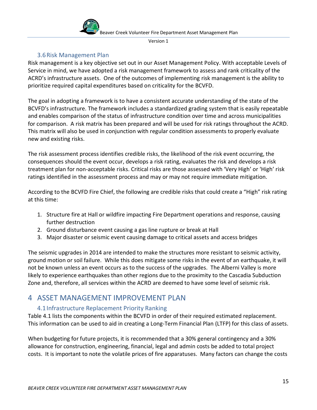

# 3.6Risk Management Plan

<span id="page-14-0"></span>Risk management is a key objective set out in our Asset Management Policy. With acceptable Levels of Service in mind, we have adopted a risk management framework to assess and rank criticality of the ACRD's infrastructure assets. One of the outcomes of implementing risk management is the ability to prioritize required capital expenditures based on criticality for the BCVFD.

The goal in adopting a framework is to have a consistent accurate understanding of the state of the BCVFD's infrastructure. The framework includes a standardized grading system that is easily repeatable and enables comparison of the status of infrastructure condition over time and across municipalities for comparison. A risk matrix has been prepared and will be used for risk ratings throughout the ACRD. This matrix will also be used in conjunction with regular condition assessments to properly evaluate new and existing risks.

The risk assessment process identifies credible risks, the likelihood of the risk event occurring, the consequences should the event occur, develops a risk rating, evaluates the risk and develops a risk treatment plan for non-acceptable risks. Critical risks are those assessed with 'Very High' or 'High' risk ratings identified in the assessment process and may or may not require immediate mitigation.

According to the BCVFD Fire Chief, the following are credible risks that could create a "High" risk rating at this time:

- 1. Structure fire at Hall or wildfire impacting Fire Department operations and response, causing further destruction
- 2. Ground disturbance event causing a gas line rupture or break at Hall
- 3. Major disaster or seismic event causing damage to critical assets and access bridges

The seismic upgrades in 2014 are intended to make the structures more resistant to seismic activity, ground motion or soil failure. While this does mitigate some risks in the event of an earthquake, it will not be known unless an event occurs as to the success of the upgrades. The Alberni Valley is more likely to experience earthquakes than other regions due to the proximity to the Cascadia Subduction Zone and, therefore, all services within the ACRD are deemed to have some level of seismic risk.

# <span id="page-14-1"></span>4 ASSET MANAGEMENT IMPROVEMENT PLAN

# <span id="page-14-2"></span>4.1Infrastructure Replacement Priority Ranking

Table 4.1 lists the components within the BCVFD in order of their required estimated replacement. This information can be used to aid in creating a Long-Term Financial Plan (LTFP) for this class of assets.

When budgeting for future projects, it is recommended that a 30% general contingency and a 30% allowance for construction, engineering, financial, legal and admin costs be added to total project costs. It is important to note the volatile prices of fire apparatuses. Many factors can change the costs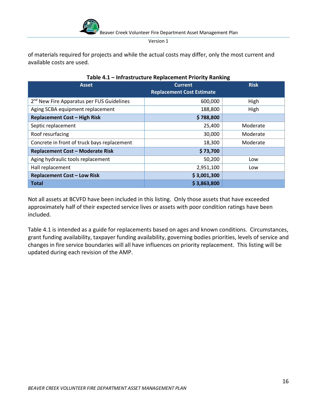

of materials required for projects and while the actual costs may differ, only the most current and available costs are used.

| <b>Asset</b>                                          | <b>Current</b><br><b>Replacement Cost Estimate</b> | <b>Risk</b> |
|-------------------------------------------------------|----------------------------------------------------|-------------|
| 2 <sup>nd</sup> New Fire Apparatus per FUS Guidelines | 600,000                                            | High        |
| Aging SCBA equipment replacement                      | 188,800                                            | High        |
| <b>Replacement Cost - High Risk</b>                   | \$788,800                                          |             |
| Septic replacement                                    | 25,400                                             | Moderate    |
| Roof resurfacing                                      | 30,000                                             | Moderate    |
| Concrete in front of truck bays replacement           | 18,300                                             | Moderate    |
| <b>Replacement Cost - Moderate Risk</b>               | \$73,700                                           |             |
| Aging hydraulic tools replacement                     | 50,200                                             | Low         |
| Hall replacement                                      | 2,951,100                                          | Low         |
| <b>Replacement Cost - Low Risk</b>                    | \$3,001,300                                        |             |
| <b>Total</b>                                          | \$3,863,800                                        |             |

#### **Table 4.1 – Infrastructure Replacement Priority Ranking**

Not all assets at BCVFD have been included in this listing. Only those assets that have exceeded approximately half of their expected service lives or assets with poor condition ratings have been included.

Table 4.1 is intended as a guide for replacements based on ages and known conditions. Circumstances, grant funding availability, taxpayer funding availability, governing bodies priorities, levels of service and changes in fire service boundaries will all have influences on priority replacement. This listing will be updated during each revision of the AMP.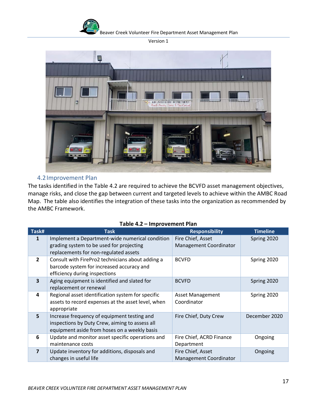

Beaver Creek Volunteer Fire Department Asset Management Plan

Version 1



# 4.2Improvement Plan

<span id="page-16-0"></span>The tasks identified in the Table 4.2 are required to achieve the BCVFD asset management objectives, manage risks, and close the gap between current and targeted levels to achieve within the AMBC Road Map. The table also identifies the integration of these tasks into the organization as recommended by the AMBC Framework.

|                         | . <del>.</del><br>p. 0 . cc                                                                                                                   |                                                    |                 |  |  |
|-------------------------|-----------------------------------------------------------------------------------------------------------------------------------------------|----------------------------------------------------|-----------------|--|--|
| Task#                   | <b>Task</b>                                                                                                                                   | <b>Responsibility</b>                              | <b>Timeline</b> |  |  |
| 1                       | Implement a Department-wide numerical condition<br>grading system to be used for projecting                                                   | Fire Chief, Asset<br><b>Management Coordinator</b> | Spring 2020     |  |  |
|                         | replacements for non-regulated assets                                                                                                         |                                                    |                 |  |  |
| $\overline{2}$          | Consult with FirePro2 technicians about adding a<br>barcode system for increased accuracy and<br>efficiency during inspections                | <b>BCVFD</b>                                       | Spring 2020     |  |  |
| 3                       | Aging equipment is identified and slated for<br>replacement or renewal                                                                        | <b>BCVFD</b>                                       | Spring 2020     |  |  |
| 4                       | Regional asset identification system for specific<br>assets to record expenses at the asset level, when<br>appropriate                        | <b>Asset Management</b><br>Coordinator             | Spring 2020     |  |  |
| 5                       | Increase frequency of equipment testing and<br>inspections by Duty Crew, aiming to assess all<br>equipment aside from hoses on a weekly basis | Fire Chief, Duty Crew                              | December 2020   |  |  |
| 6                       | Update and monitor asset specific operations and<br>maintenance costs                                                                         | Fire Chief, ACRD Finance<br>Department             | Ongoing         |  |  |
| $\overline{\mathbf{z}}$ | Update inventory for additions, disposals and<br>changes in useful life                                                                       | Fire Chief, Asset<br><b>Management Coordinator</b> | Ongoing         |  |  |

#### **Table 4.2 – Improvement Plan**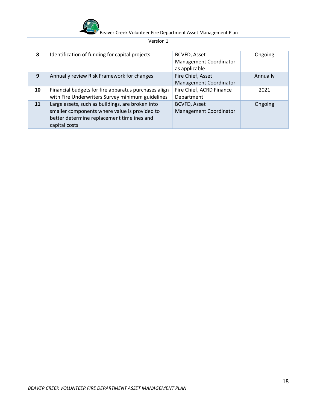

| 8  | Identification of funding for capital projects                                                                                                                   | <b>BCVFD, Asset</b><br><b>Management Coordinator</b><br>as applicable | Ongoing  |
|----|------------------------------------------------------------------------------------------------------------------------------------------------------------------|-----------------------------------------------------------------------|----------|
| 9  | Annually review Risk Framework for changes                                                                                                                       | Fire Chief, Asset<br><b>Management Coordinator</b>                    | Annually |
| 10 | Financial budgets for fire apparatus purchases align<br>with Fire Underwriters Survey minimum guidelines                                                         | Fire Chief, ACRD Finance<br>Department                                | 2021     |
| 11 | Large assets, such as buildings, are broken into<br>smaller components where value is provided to<br>better determine replacement timelines and<br>capital costs | <b>BCVFD, Asset</b><br><b>Management Coordinator</b>                  | Ongoing  |